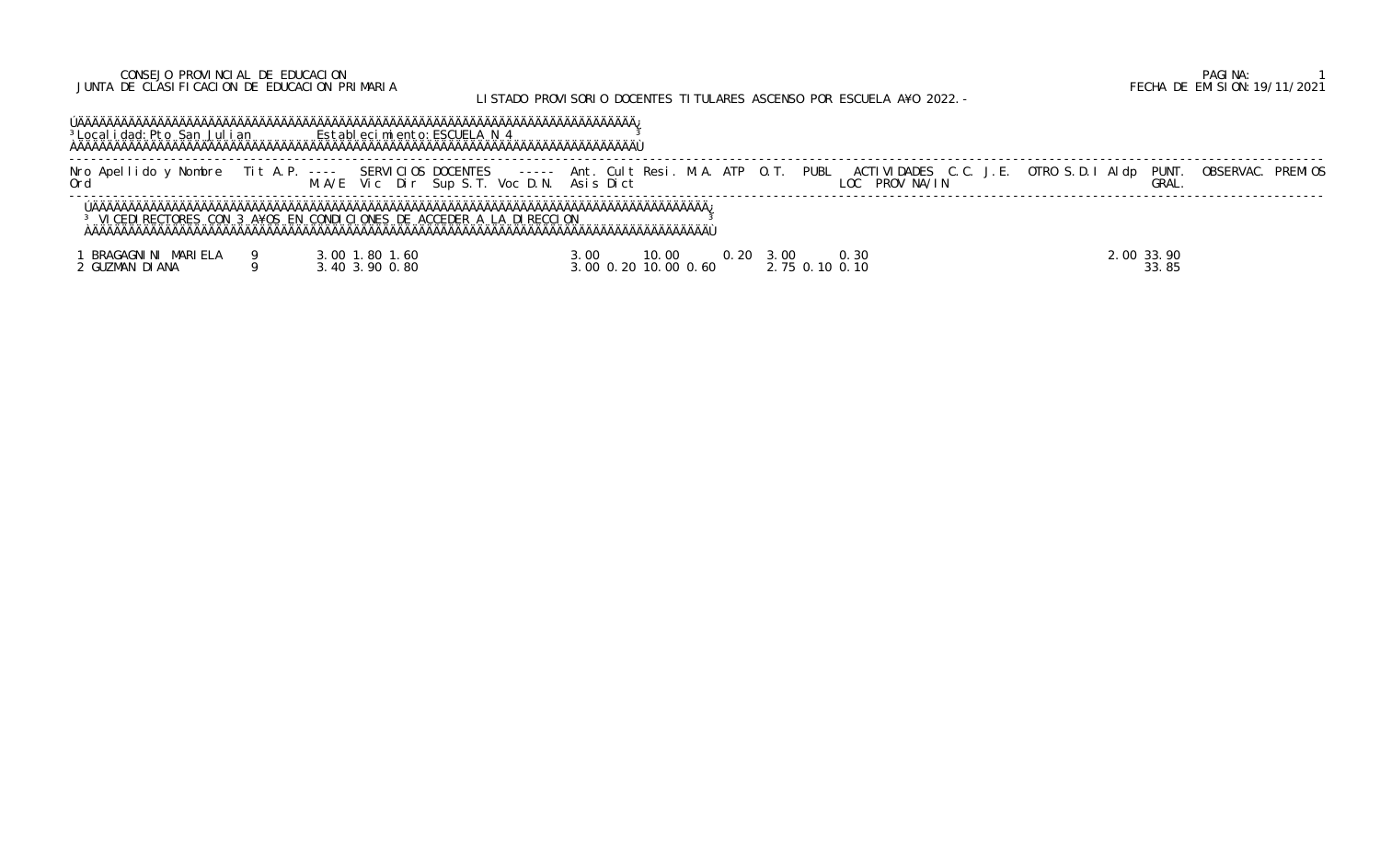### CONSEJO PROVINCIAL DE EDUCACION PAGINA: 1 JUNTA DE CLASIFICACION DE EDUCACION PRIMARIA FECHA DE EMISION:19/11/2021

# LISTADO PROVISORIO DOCENTES TITULARES ASCENSO POR ESCUELA A¥O 2022. -

### ÚÄÄÄÄÄÄÄÄÄÄÄÄÄÄÄÄÄÄÄÄÄÄÄÄÄÄÄÄÄÄÄÄÄÄÄÄÄÄÄÄÄÄÄÄÄÄÄÄÄÄÄÄÄÄÄÄÄÄÄÄÄÄÄÄÄÄÄÄÄÄÄÄÄÄÄÄÄ¿ <sup>3</sup>Localidad:Pto San Julian Establecimiento:ESCUELA N 4 <sup>3</sup> ÀÄÄÄÄÄÄÄÄÄÄÄÄÄÄÄÄÄÄÄÄÄÄÄÄÄÄÄÄÄÄÄÄÄÄÄÄÄÄÄÄÄÄÄÄÄÄÄÄÄÄÄÄÄÄÄÄÄÄÄÄÄÄÄÄÄÄÄÄÄÄÄÄÄÄÄÄÄÙ

 ----------------------------------------------------------------------------------------------------------------------------------------------------------------------------- Nro Apellido y Nombre Tit A.P. ---- SERVICIOS DOCENTES ----- Ant. Cult Resi. M.A. ATP O.T. PUBL ACTIVIDADES C.C. J.E. OTRO S.D.I Aldp PUNT. OBSERVAC. PREMIOS Ord M.A/E Vic Dir Sup S.T. Voc D.N. Asis Dict LOC PROV NA/IN GRAL. -----------------------------------------------------------------------------------------------------------------------------------------------------------------------------

 ÚÄÄÄÄÄÄÄÄÄÄÄÄÄÄÄÄÄÄÄÄÄÄÄÄÄÄÄÄÄÄÄÄÄÄÄÄÄÄÄÄÄÄÄÄÄÄÄÄÄÄÄÄÄÄÄÄÄÄÄÄÄÄÄÄÄÄÄÄÄÄÄÄÄÄÄÄÄÄÄÄÄÄÄÄÄ¿ <sup>3</sup> VICEDIRECTORES CON 3 A¥OS EN CONDICIONES DE ACCEDER A LA DIRECCION <sup>3</sup> ÀÄÄÄÄÄÄÄÄÄÄÄÄÄÄÄÄÄÄÄÄÄÄÄÄÄÄÄÄÄÄÄÄÄÄÄÄÄÄÄÄÄÄÄÄÄÄÄÄÄÄÄÄÄÄÄÄÄÄÄÄÄÄÄÄÄÄÄÄÄÄÄÄÄÄÄÄÄÄÄÄÄÄÄÄÄÙ

| BRAGAGNINI MARIELA | .00 <sub>1</sub><br>.80<br>. . 60 | 3.00 | 10.00                | 0.20 | 3.00<br>. 30               | 33.90<br>2.00 |
|--------------------|-----------------------------------|------|----------------------|------|----------------------------|---------------|
| GUZMAN<br>DI ANA   | 3.90 0.80<br>$^{\circ}$ 40 3.     |      | 3.00 0.20 10.00 0.60 |      | 100.<br>$\bigcap$<br>75 O. | 33.85         |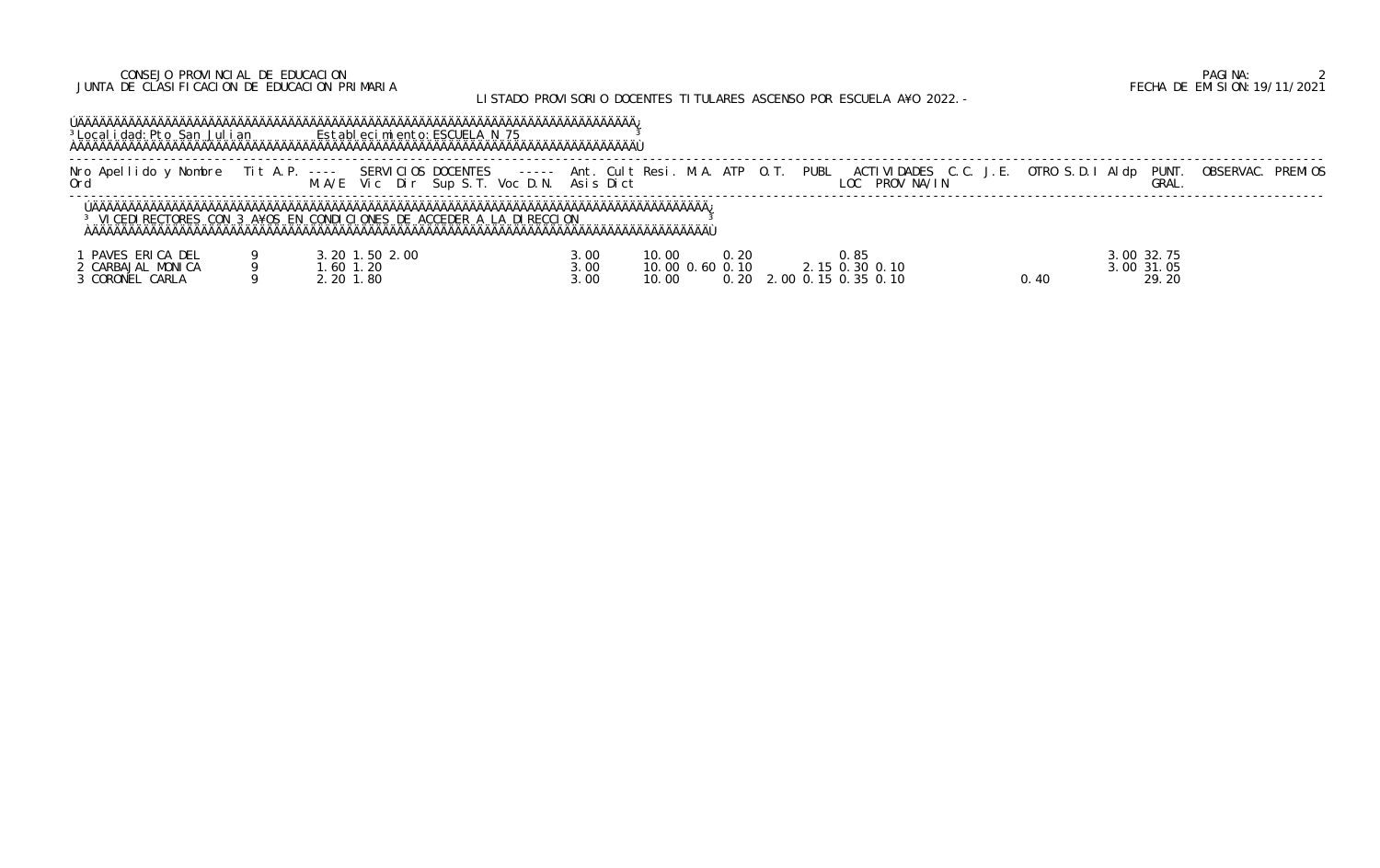### CONSEJO PROVINCIAL DE EDUCACION PAGINA: 2 JUNTA DE CLASIFICACION DE EDUCACION PRIMARIA FECHA DE EMISION:19/11/2021

## LISTADO PROVISORIO DOCENTES TITULARES ASCENSO POR ESCUELA A¥O 2022. -

### ÚÄÄÄÄÄÄÄÄÄÄÄÄÄÄÄÄÄÄÄÄÄÄÄÄÄÄÄÄÄÄÄÄÄÄÄÄÄÄÄÄÄÄÄÄÄÄÄÄÄÄÄÄÄÄÄÄÄÄÄÄÄÄÄÄÄÄÄÄÄÄÄÄÄÄÄÄÄ¿ <sup>3</sup>Localidad:Pto San Julian Establecimiento:ESCUELA N 75 <sup>3</sup> ÀÄÄÄÄÄÄÄÄÄÄÄÄÄÄÄÄÄÄÄÄÄÄÄÄÄÄÄÄÄÄÄÄÄÄÄÄÄÄÄÄÄÄÄÄÄÄÄÄÄÄÄÄÄÄÄÄÄÄÄÄÄÄÄÄÄÄÄÄÄÄÄÄÄÄÄÄÄÙ

| Nro Apellido y Nombre Tit A.P. ---- |                                           |                   | SERVICIOS DOCENTES ----- Ant. Cult Resi. M.A. ATP O.T. PUBL ACTIVIDADES C.C. J.E. OTRO S.D.I AIdp PUNT. OBSERVAC. PREMIOS |
|-------------------------------------|-------------------------------------------|-------------------|---------------------------------------------------------------------------------------------------------------------------|
| Ord                                 | M.A/E Vic Dir Sup S.T. Voc D.N. Asis Dict | PROV NA/IN<br>LOC |                                                                                                                           |

 ----------------------------------------------------------------------------------------------------------------------------------------------------------------------------- LOC PROV NA/IN GRAL. -----------------------------------------------------------------------------------------------------------------------------------------------------------------------------

 ÚÄÄÄÄÄÄÄÄÄÄÄÄÄÄÄÄÄÄÄÄÄÄÄÄÄÄÄÄÄÄÄÄÄÄÄÄÄÄÄÄÄÄÄÄÄÄÄÄÄÄÄÄÄÄÄÄÄÄÄÄÄÄÄÄÄÄÄÄÄÄÄÄÄÄÄÄÄÄÄÄÄÄÄÄÄ¿ <sup>3</sup> VICEDIRECTORES CON 3 A¥OS EN CONDICIONES DE ACCEDER A LA DIRECCION <sup>3</sup> ÀÄÄÄÄÄÄÄÄÄÄÄÄÄÄÄÄÄÄÄÄÄÄÄÄÄÄÄÄÄÄÄÄÄÄÄÄÄÄÄÄÄÄÄÄÄÄÄÄÄÄÄÄÄÄÄÄÄÄÄÄÄÄÄÄÄÄÄÄÄÄÄÄÄÄÄÄÄÄÄÄÄÄÄÄÄÙ

| <b>ERICA DEL</b><br><b>PAVES</b> | 1.50 2.00<br>ა. 20 $\degree$ | 3.00 | 10.00           | 0.20 | 0.85                |      | 3.00 32.75     |
|----------------------------------|------------------------------|------|-----------------|------|---------------------|------|----------------|
| MONI CA<br>CARBAJAL              | . 60 1. 20                   | 3.00 | 10.00 0.60 0.10 |      | 2.15 0.30 0.10      |      | $3.00$ $31.05$ |
| CORONEL<br>CARLA                 | 20 1.80                      | 3.00 | 10.00           | 0.20 | 2.00 0.15 0.35 0.10 | . 40 | 29.20          |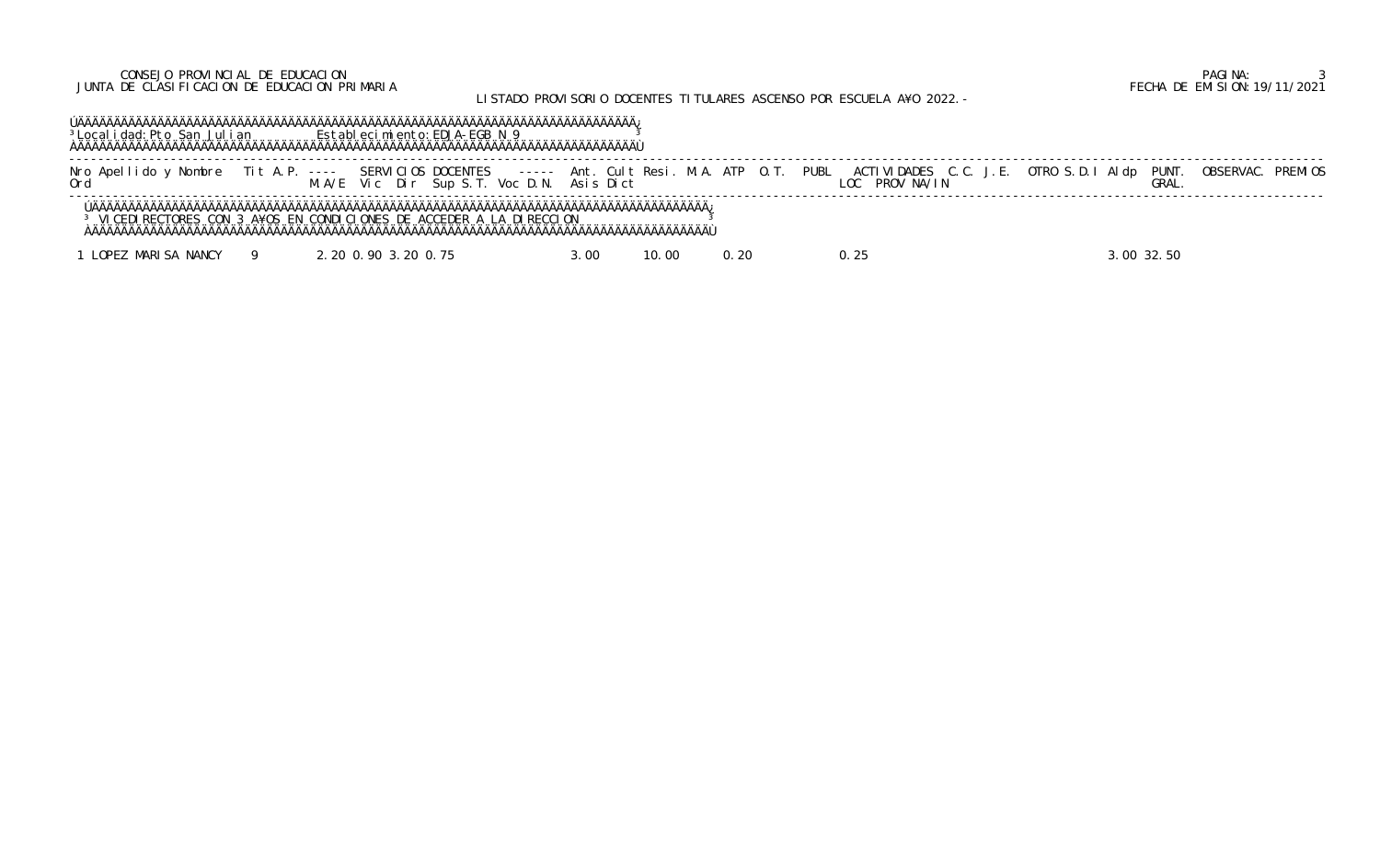### CONSEJO PROVINCIAL DE EDUCACION PAGINA: 3 JUNTA DE CLASIFICACION DE EDUCACION PRIMARIA FECHA DE EMISION:19/11/2021

# LISTADO PROVISORIO DOCENTES TITULARES ASCENSO POR ESCUELA A¥O 2022. -

 ÚÄÄÄÄÄÄÄÄÄÄÄÄÄÄÄÄÄÄÄÄÄÄÄÄÄÄÄÄÄÄÄÄÄÄÄÄÄÄÄÄÄÄÄÄÄÄÄÄÄÄÄÄÄÄÄÄÄÄÄÄÄÄÄÄÄÄÄÄÄÄÄÄÄÄÄÄÄ¿ <sup>3</sup>Localidad:Pto San Julian Establecimiento:EDJA-EGB N 9 <sup>3</sup> ÀÄÄÄÄÄÄÄÄÄÄÄÄÄÄÄÄÄÄÄÄÄÄÄÄÄÄÄÄÄÄÄÄÄÄÄÄÄÄÄÄÄÄÄÄÄÄÄÄÄÄÄÄÄÄÄÄÄÄÄÄÄÄÄÄÄÄÄÄÄÄÄÄÄÄÄÄÄÙ

 ----------------------------------------------------------------------------------------------------------------------------------------------------------------------------- Nro Apellido y Nombre Tit A.P. ---- SERVICIOS DOCENTES ----- Ant. Cult Resi. M.A. ATP O.T. PUBL ACTIVIDADES C.C. J.E. OTRO S.D.I Aldp PUNT. OBSERVAC. PREMIOS Ord M.A/E Vic Dir Sup S.T. Voc D.N. Asis Dict LOC PROV NA/IN GRAL. -----------------------------------------------------------------------------------------------------------------------------------------------------------------------------

 ÚÄÄÄÄÄÄÄÄÄÄÄÄÄÄÄÄÄÄÄÄÄÄÄÄÄÄÄÄÄÄÄÄÄÄÄÄÄÄÄÄÄÄÄÄÄÄÄÄÄÄÄÄÄÄÄÄÄÄÄÄÄÄÄÄÄÄÄÄÄÄÄÄÄÄÄÄÄÄÄÄÄÄÄÄÄ¿ <sup>3</sup> VICEDIRECTORES CON 3 A¥OS EN CONDICIONES DE ACCEDER A LA DIRECCION <sup>3</sup> ÀÄÄÄÄÄÄÄÄÄÄÄÄÄÄÄÄÄÄÄÄÄÄÄÄÄÄÄÄÄÄÄÄÄÄÄÄÄÄÄÄÄÄÄÄÄÄÄÄÄÄÄÄÄÄÄÄÄÄÄÄÄÄÄÄÄÄÄÄÄÄÄÄÄÄÄÄÄÄÄÄÄÄÄÄÄÙ

1 LOPEZ MARISA NANCY 9 2.20 0.90 3.20 0.75 3.00 10.00 0.20 0.25 3.00 32.50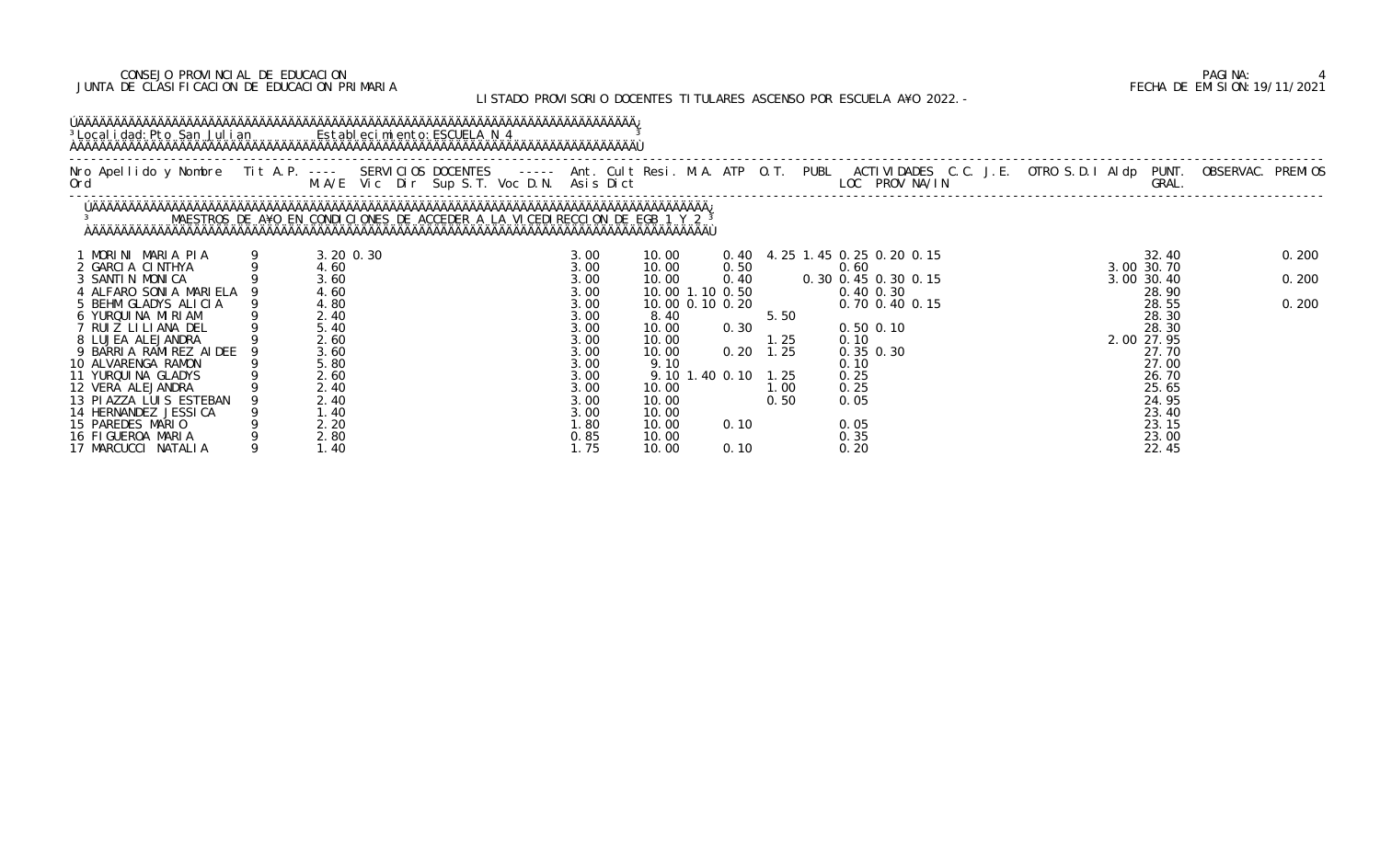### CONSEJO PROVINCIAL DE EDUCACION PAGINA: 4 JUNTA DE CLASIFICACION DE EDUCACION PRIMARIA FECHA DE EMISION:19/11/2021

# LISTADO PROVISORIO DOCENTES TITULARES ASCENSO POR ESCUELA A¥O 2022. -

### ÚÄÄÄÄÄÄÄÄÄÄÄÄÄÄÄÄÄÄÄÄÄÄÄÄÄÄÄÄÄÄÄÄÄÄÄÄÄÄÄÄÄÄÄÄÄÄÄÄÄÄÄÄÄÄÄÄÄÄÄÄÄÄÄÄÄÄÄÄÄÄÄÄÄÄÄÄÄ¿ <sup>3</sup>Localidad:Pto San Julian Establecimiento:ESCUELA N 4 <sup>3</sup> ÀÄÄÄÄÄÄÄÄÄÄÄÄÄÄÄÄÄÄÄÄÄÄÄÄÄÄÄÄÄÄÄÄÄÄÄÄÄÄÄÄÄÄÄÄÄÄÄÄÄÄÄÄÄÄÄÄÄÄÄÄÄÄÄÄÄÄÄÄÄÄÄÄÄÄÄÄÄÙ

|                        | MAESTROS DE A¥O EN CONDICIONES DE ACCEDER A LA VICEDIRECCION DE EGB 1 Y 2 3 |  |      |       |                 |             |                               |            |            |       |
|------------------------|-----------------------------------------------------------------------------|--|------|-------|-----------------|-------------|-------------------------------|------------|------------|-------|
| I MORINI MARIA PIA     | $3.20 \, 0.30$                                                              |  | 3.00 | 10.00 |                 |             | 0.40 4.25 1.45 0.25 0.20 0.15 |            | 32.40      | 0.200 |
| 2 GARCIA CINTHYA       | 4.60                                                                        |  | 3.00 | 10.00 | 0.50            |             | 0.60                          |            | 3.00 30.70 |       |
| 3 SANTIN MONICA        | 3.60                                                                        |  | 3.00 | 10.00 | 0.40            |             | 0.30 0.45 0.30 0.15           |            | 3.00 30.40 | 0.200 |
| 4 ALFARO SONIA MARIELA | 4.60                                                                        |  | 3.00 |       | 10.00 1.10 0.50 |             | 0.40 0.30                     |            | 28.90      |       |
| 5 BEHM GLADYS ALICIA   | 4.80                                                                        |  | 3.00 |       | 10.00 0.10 0.20 |             | 0.70 0.40 0.15                |            | 28.55      | 0.200 |
| 6 YURQUINA MIRIAM      | 2.40                                                                        |  | 3.00 | 8.40  |                 | 5.50        |                               |            | 28.30      |       |
| 7 RUIZ LILIANA DEL     | 5.40                                                                        |  | 3.00 | 10.00 | 0.30            |             | $0.50$ $0.10$                 |            | 28.30      |       |
| 8 LUJEA ALEJANDRA      | 2.60                                                                        |  | 3.00 | 10.00 |                 | 1.25        | 0.10                          | 2.00 27.95 |            |       |
| 9 BARRIA RAMIREZ AIDEE | 3.60                                                                        |  | 3.00 | 10.00 |                 | $0.20$ 1.25 | $0.35$ $0.30$                 |            | 27.70      |       |
| 10 ALVARENGA RAMON     | 5.80                                                                        |  | 3.00 | 9.10  |                 |             | 0.10                          |            | 27.00      |       |
| 11 YURQUINA GLADYS     | 2.60                                                                        |  | 3.00 | 9.101 | $.40$ 0.10 1.25 |             | 0.25                          |            | 26.70      |       |
| 12 VERA ALEJANDRA      | 2.40                                                                        |  | 3.00 | 10.00 |                 | 1.00        | 0.25                          |            | 25.65      |       |
| 13 PIAZZA LUIS ESTEBAN | 2.40                                                                        |  | 3.00 | 10.00 |                 | 0.50        | 0.05                          |            | 24.95      |       |
| 14 HERNANDEZ JESSI CA  | 1.40                                                                        |  | 3.00 | 10.00 |                 |             |                               |            | 23.40      |       |
| 15 PAREDES MARIO       | 2.20                                                                        |  | 1.80 | 10.00 | 0.10            |             | 0.05                          |            | 23.15      |       |
| 16 FIGUEROA MARIA      | 2.80                                                                        |  | 0.85 | 10.00 |                 |             | 0.35                          |            | 23.00      |       |
| 17 MARCUCCI NATALIA    | 1.40                                                                        |  | 1.75 | 10.00 | 0.10            |             | 0.20                          |            | 22.45      |       |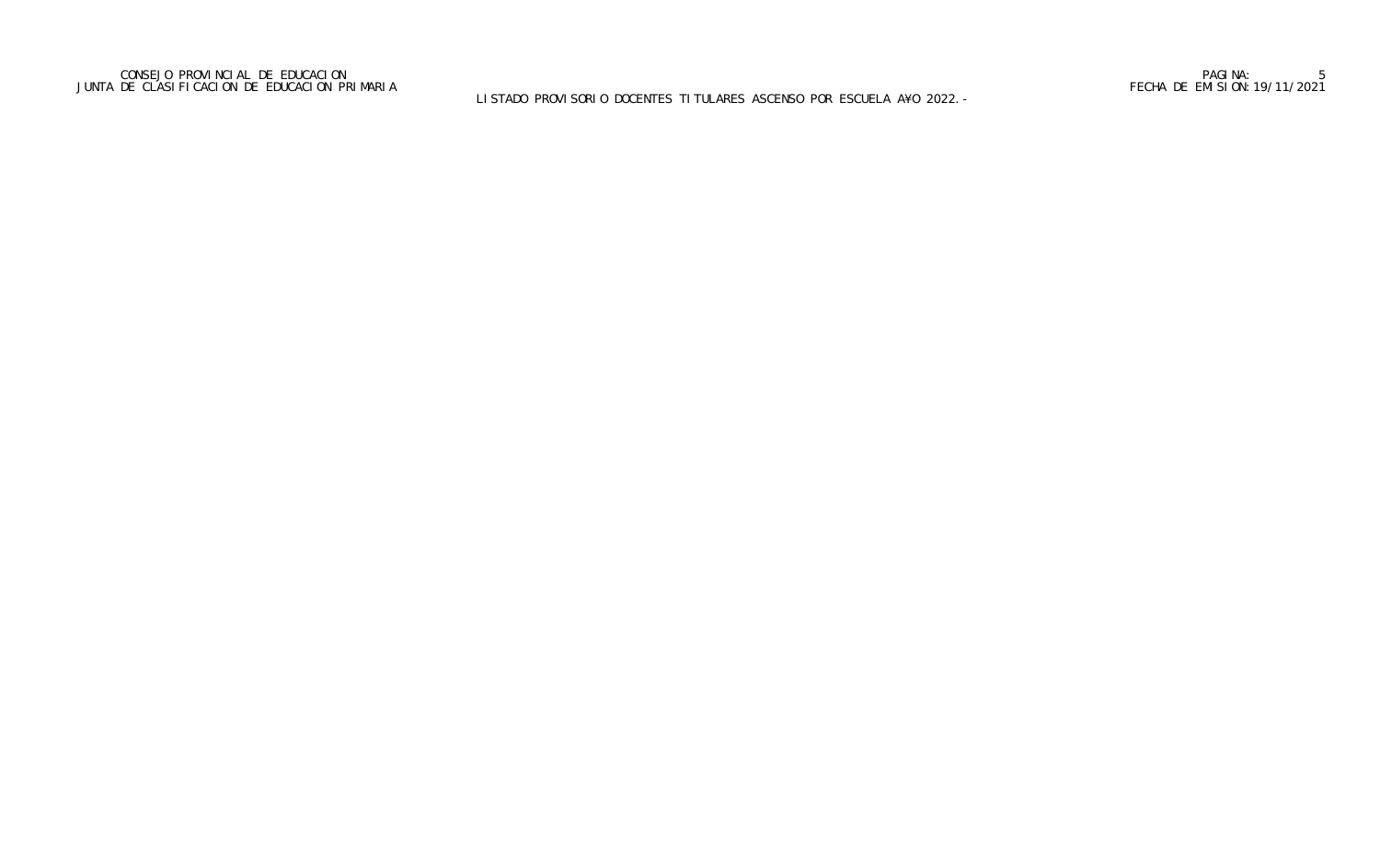CONSEJO PROVINCIAL DE EDUCACION PAGINA: 5 JUNTA DE CLASIFICACION DE EDUCACION PRIMARIA FECHA DE EMISION:19/11/2021

LISTADO PROVISORIO DOCENTES TITULARES ASCENSO POR ESCUELA A¥O 2022. -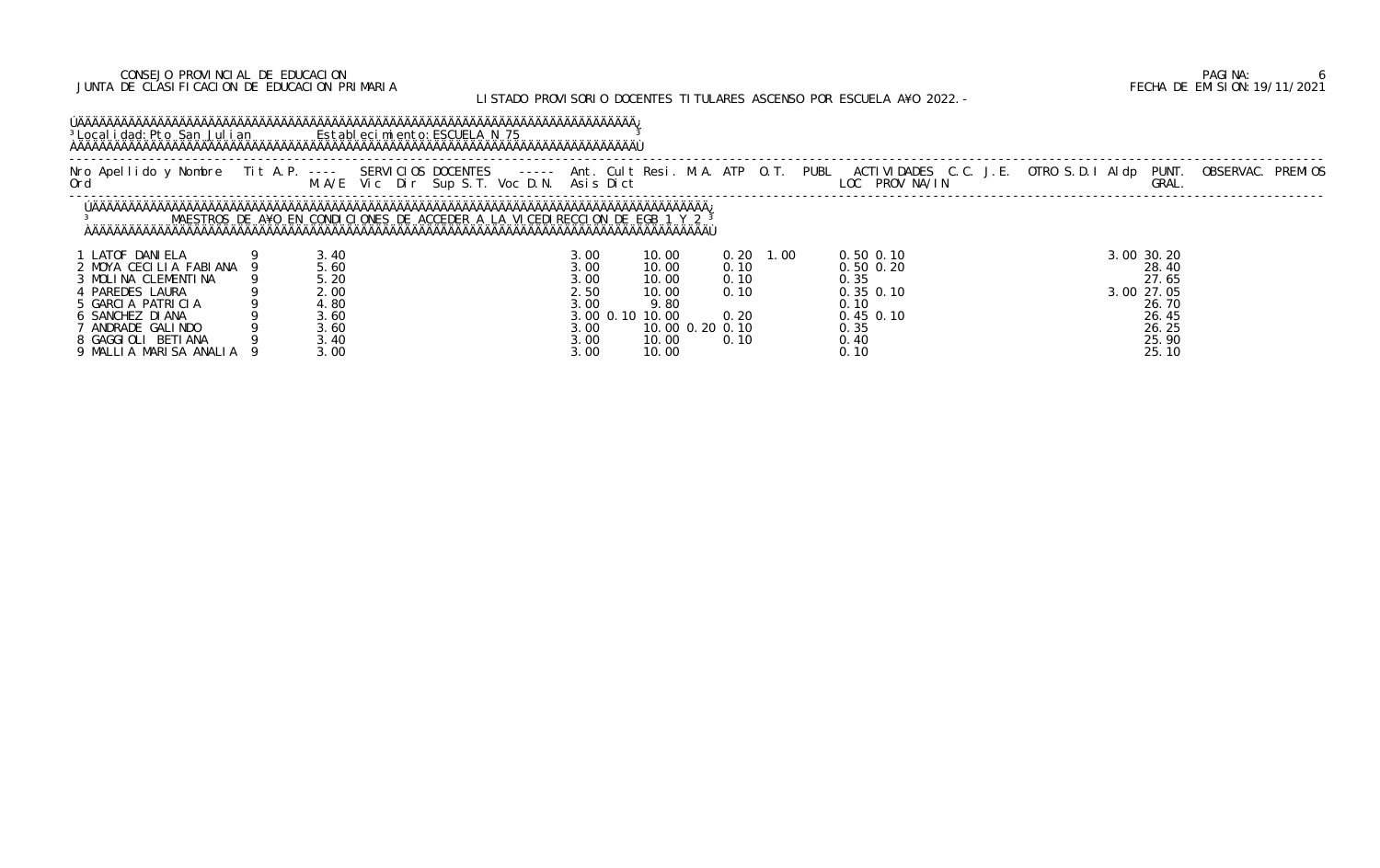### CONSEJO PROVINCIAL DE EDUCACION PAGINA: 6 JUNTA DE CLASIFICACION DE EDUCACION PRIMARIA FECHA DE EMISION:19/11/2021

# LISTADO PROVISORIO DOCENTES TITULARES ASCENSO POR ESCUELA A¥O 2022. -

### ÚÄÄÄÄÄÄÄÄÄÄÄÄÄÄÄÄÄÄÄÄÄÄÄÄÄÄÄÄÄÄÄÄÄÄÄÄÄÄÄÄÄÄÄÄÄÄÄÄÄÄÄÄÄÄÄÄÄÄÄÄÄÄÄÄÄÄÄÄÄÄÄÄÄÄÄÄÄ¿ <sup>3</sup>Localidad:Pto San Julian Establecimiento:ESCUELA N 75 <sup>3</sup> ÀÄÄÄÄÄÄÄÄÄÄÄÄÄÄÄÄÄÄÄÄÄÄÄÄÄÄÄÄÄÄÄÄÄÄÄÄÄÄÄÄÄÄÄÄÄÄÄÄÄÄÄÄÄÄÄÄÄÄÄÄÄÄÄÄÄÄÄÄÄÄÄÄÄÄÄÄÄÙ

| Nro Apellido y Nombre Tit A.P. ---- SERVICIOS DOCENTES   ----- Ant. Cult Resi. M.A. ATP O.T. PUBL ACTIVIDADES C.C. J.E. OTRO S.D.I AIdp PUNT. OBSERVAC. PREMIOS<br>Ord                  M.A/E Vic Dir Sup S.T. Voc D.N. Asis Dict |         |                                                                             |        |                   |               |            |  |
|-----------------------------------------------------------------------------------------------------------------------------------------------------------------------------------------------------------------------------------|---------|-----------------------------------------------------------------------------|--------|-------------------|---------------|------------|--|
|                                                                                                                                                                                                                                   |         | MAESTROS DE A¥O EN CONDICIONES DE ACCEDER A LA VICEDIRECCION DE EGB 1 Y 2 3 |        |                   |               |            |  |
|                                                                                                                                                                                                                                   |         |                                                                             |        |                   |               |            |  |
| LATOF DANI ELA                                                                                                                                                                                                                    | (3, 40) |                                                                             | 10.00  | $0.20 \quad 1.00$ | $0.50$ $0.10$ | 3.00 30.20 |  |
| 2 MOYA CECILIA FABIANA 9                                                                                                                                                                                                          | 5.60    |                                                                             | 10.00  | 0.10              | $0.50$ $0.20$ | 28.40      |  |
| 3 MOLINA CLEMENTINA                                                                                                                                                                                                               |         |                                                                             | 10. 00 | 0.10              |               |            |  |

| LAIOF<br>DANI ELA      | -40   | 3.00            | 10.00           | 1. OC<br>0.20 | $0.50 \, 0.10$ | 3.00<br>30.20 |
|------------------------|-------|-----------------|-----------------|---------------|----------------|---------------|
| 2 MOYA CECILIA FABIANA | . 60  | 3.00            | 10.00           | 0.10          | $0.50$ $0.20$  | 28.40         |
| 8 MOLINA CLEMENTINA    | 5.20  | 3.00            | 10.00           | 0.10          | 0. 35          | 27.65         |
| PAREDES LAURA          | 2.00  | 2.50            | 10.00           | 0.10          | $0.35$ $0.10$  | 27.05<br>3.00 |
| GARCIA PATRICIA        | 4.80  | 3.00            | 9.80            |               | 0.10           | 26.70         |
| SANCHEZ DI ANA         | 3.60  | 3.00 0.10 10.00 |                 | 0.20          | 0.45 0.10      | 26.45         |
| ANDRADE GALINDO        | ී. 60 | 3.00            | 10.00 0.20 0.10 |               | 0.35           | 26.25         |
| 8 GAGGIOLI<br>BETI ANA | 3.40  | 3.00            | 10.00           | 0.10          | 0.40           | 25.90         |
| 9 MALLIA MARISA ANALIA | .00   | 3.00            | 10.00           |               | 0.10           | 25.10         |
|                        |       |                 |                 |               |                |               |